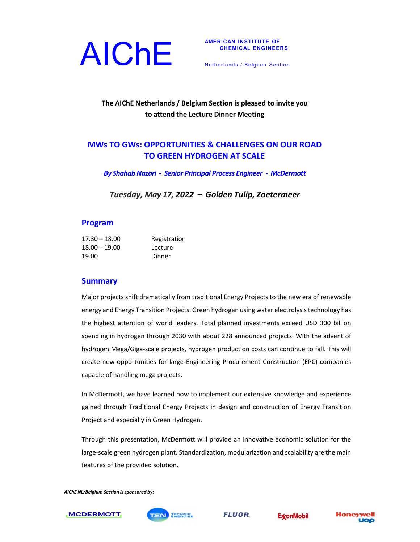

Netherlands / Belgium Section

## **The AIChE Netherlands / Belgium Section is pleased to invite you to attend the Lecture Dinner Meeting**

# **MWs TO GWs: OPPORTUNITIES & CHALLENGES ON OUR ROAD TO GREEN HYDROGEN AT SCALE**

*By ShahabNazari ‐ Senior Principal Process Engineer ‐ McDermott*

*Tuesday, May 17, 2022 – Golden Tulip, Zoetermeer*

#### **Program**

| $17.30 - 18.00$ | Registration |
|-----------------|--------------|
| $18.00 - 19.00$ | Lecture      |
| 19.00           | Dinner       |

#### **Summary**

Major projects shift dramatically from traditional Energy Projects to the new era of renewable energy and Energy Transition Projects. Green hydrogen using water electrolysistechnology has the highest attention of world leaders. Total planned investments exceed USD 300 billion spending in hydrogen through 2030 with about 228 announced projects. With the advent of hydrogen Mega/Giga‐scale projects, hydrogen production costs can continue to fall. This will create new opportunities for large Engineering Procurement Construction (EPC) companies capable of handling mega projects.

In McDermott, we have learned how to implement our extensive knowledge and experience gained through Traditional Energy Projects in design and construction of Energy Transition Project and especially in Green Hydrogen.

Through this presentation, McDermott will provide an innovative economic solution for the large-scale green hydrogen plant. Standardization, modularization and scalability are the main features of the provided solution.

*AIChE NL/Belgium Section issponsored by:*



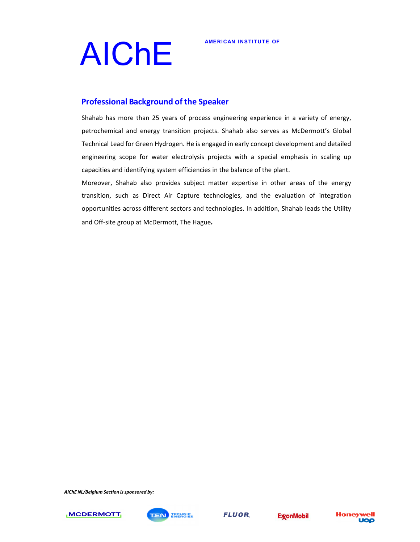

# AIChE<sup>AMERICAN INSTITUTE OF</sup>

## **Professional Background of the Speaker**

Shahab has more than 25 years of process engineering experience in a variety of energy, petrochemical and energy transition projects. Shahab also serves as McDermott's Global Technical Lead for Green Hydrogen. He is engaged in early concept development and detailed engineering scope for water electrolysis projects with a special emphasis in scaling up capacities and identifying system efficiencies in the balance of the plant.

Moreover, Shahab also provides subject matter expertise in other areas of the energy transition, such as Direct Air Capture technologies, and the evaluation of integration opportunities across different sectors and technologies. In addition, Shahab leads the Utility and Off‐site group at McDermott, The Hague*.*

*AIChE NL/Belgium Section issponsored by:*